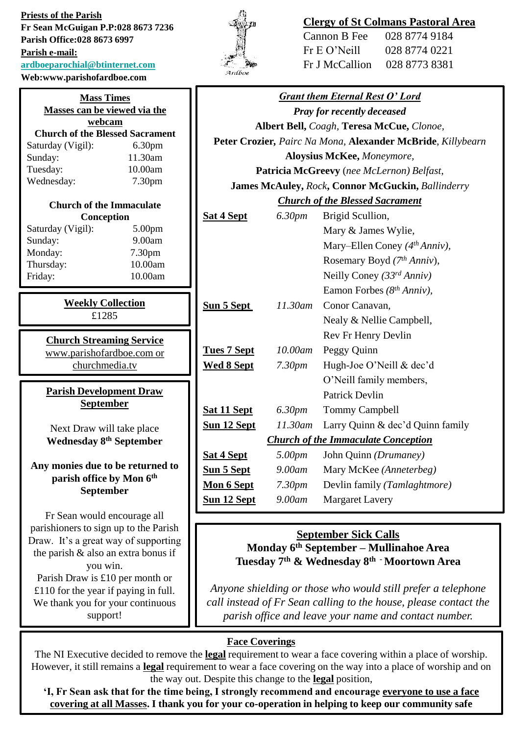**Priests of the Parish Fr Sean McGuigan P.P:028 8673 7236 Parish Office:028 8673 6997 Parish e-mail: [ardboeparochial@btinternet.com](mailto:ardboeparochial@btinternet.com)**

**Mass Times Masses can be viewed via the webcam Church of the Blessed Sacrament** Saturday (Vigil): 6.30pm Sunday: 11.30am Tuesday: 10.00am Wednesday: 7.30pm

**Church of the Immaculate Conception** Saturday (Vigil): 5.00pm Sunday: 9.00am Monday: 7.30pm Thursday: 10.00am Friday: 10.00am

> **Church Streaming Service** [www.parishofardboe.com](http://www.parishofardboe.com/) or churchmedia.tv

**Parish Development Draw September** 

Next Draw will take place **Wednesday 8th September**

**Any monies due to be returned to parish office by Mon 6th September**

Fr Sean would encourage all parishioners to sign up to the Parish Draw. It's a great way of supporting the parish & also an extra bonus if you win. Parish Draw is £10 per month or £110 for the year if paying in full. We thank you for your continuous support!

**Weekly Collection** £1285

**Web:www.parishofardboe.com**



## **Clergy of St Colmans Pastoral Area**

| 028 8774 9184 |
|---------------|
| 028 8774 0221 |
| 028 8773 8381 |
|               |

|                                                             |                    | <b>Grant them Eternal Rest O' Lord</b>     |  |
|-------------------------------------------------------------|--------------------|--------------------------------------------|--|
| <b>Pray for recently deceased</b>                           |                    |                                            |  |
| Albert Bell, Coagh, Teresa McCue, Clonoe,                   |                    |                                            |  |
| Peter Crozier, Pairc Na Mona, Alexander McBride, Killybearn |                    |                                            |  |
| Aloysius McKee, Moneymore,                                  |                    |                                            |  |
| Patricia McGreevy (nee McLernon) Belfast,                   |                    |                                            |  |
| James McAuley, Rock, Connor McGuckin, Ballinderry           |                    |                                            |  |
| <b>Church of the Blessed Sacrament</b>                      |                    |                                            |  |
| Sat 4 Sept                                                  | 6.30 <sub>pm</sub> | Brigid Scullion,                           |  |
|                                                             |                    | Mary & James Wylie,                        |  |
|                                                             |                    | Mary-Ellen Coney (4th Anniv),              |  |
|                                                             |                    | Rosemary Boyd (7th Anniv),                 |  |
|                                                             |                    | Neilly Coney (33rd Anniv)                  |  |
|                                                             |                    | Eamon Forbes $(8th Anniv)$ ,               |  |
| <b>Sun 5 Sept</b>                                           | 11.30am            | Conor Canavan,                             |  |
|                                                             |                    | Nealy & Nellie Campbell,                   |  |
|                                                             |                    | Rev Fr Henry Devlin                        |  |
| <b>Tues 7 Sept</b>                                          | 10.00am            | Peggy Quinn                                |  |
| <b>Wed 8 Sept</b>                                           | 7.30 <sub>pm</sub> | Hugh-Joe O'Neill & dec'd                   |  |
|                                                             |                    | O'Neill family members,                    |  |
|                                                             |                    | Patrick Devlin                             |  |
| <b>Sat 11 Sept</b>                                          | 6.30pm             | <b>Tommy Campbell</b>                      |  |
| <u>Sun 12 Sept</u>                                          | $11.30$ am         | Larry Quinn & dec'd Quinn family           |  |
|                                                             |                    | <b>Church of the Immaculate Conception</b> |  |
| <b>Sat 4 Sept</b>                                           | 5.00 <sub>pm</sub> | John Quinn (Drumaney)                      |  |
| <b>Sun 5 Sept</b>                                           | $9.00$ am          | Mary McKee (Anneterbeg)                    |  |
| Mon 6 Sept                                                  | 7.30 <sub>pm</sub> | Devlin family (Tamlaghtmore)               |  |
| <b>Sun 12 Sept</b>                                          | 9.00am             | <b>Margaret Lavery</b>                     |  |
|                                                             |                    |                                            |  |

# **September Sick Calls**

**Monday 6th September – Mullinahoe Area Tuesday 7th & Wednesday 8th - Moortown Area**

*Anyone shielding or those who would still prefer a telephone call instead of Fr Sean calling to the house, please contact the parish office and leave your name and contact number.* 

# **Face Coverings**

The NI Executive decided to remove the **legal** requirement to wear a face covering within a place of worship. However, it still remains a **legal** requirement to wear a face covering on the way into a place of worship and on the way out. Despite this change to the **legal** position,

**'I, Fr Sean ask that for the time being, I strongly recommend and encourage everyone to use a face covering at all Masses. I thank you for your co-operation in helping to keep our community safe**